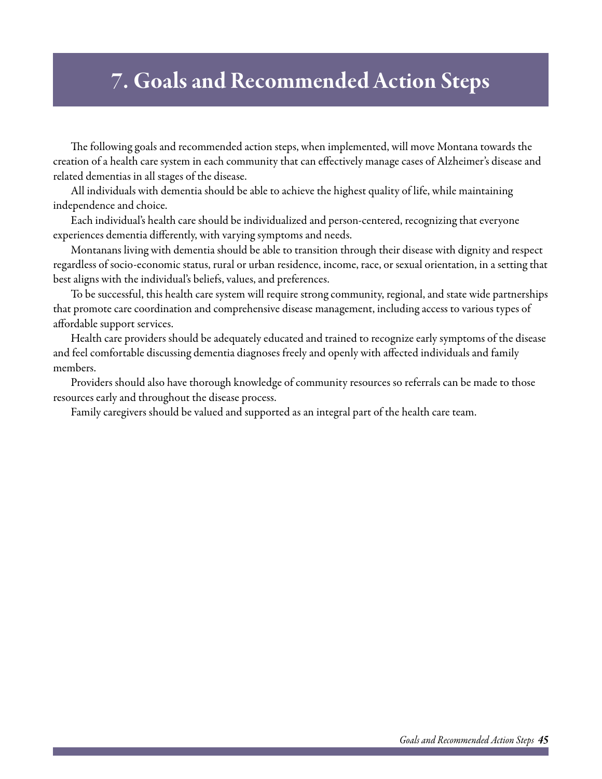# 7. Goals and Recommended Action Steps

The following goals and recommended action steps, when implemented, will move Montana towards the creation of a health care system in each community that can effectively manage cases of Alzheimer's disease and related dementias in all stages of the disease.

All individuals with dementia should be able to achieve the highest quality of life, while maintaining independence and choice.

Each individual's health care should be individualized and person-centered, recognizing that everyone experiences dementia differently, with varying symptoms and needs.

Montanans living with dementia should be able to transition through their disease with dignity and respect regardless of socio-economic status, rural or urban residence, income, race, or sexual orientation, in a setting that best aligns with the individual's beliefs, values, and preferences.

To be successful, this health care system will require strong community, regional, and state wide partnerships that promote care coordination and comprehensive disease management, including access to various types of affordable support services.

Health care providers should be adequately educated and trained to recognize early symptoms of the disease and feel comfortable discussing dementia diagnoses freely and openly with affected individuals and family members.

Providers should also have thorough knowledge of community resources so referrals can be made to those resources early and throughout the disease process.

Family caregivers should be valued and supported as an integral part of the health care team.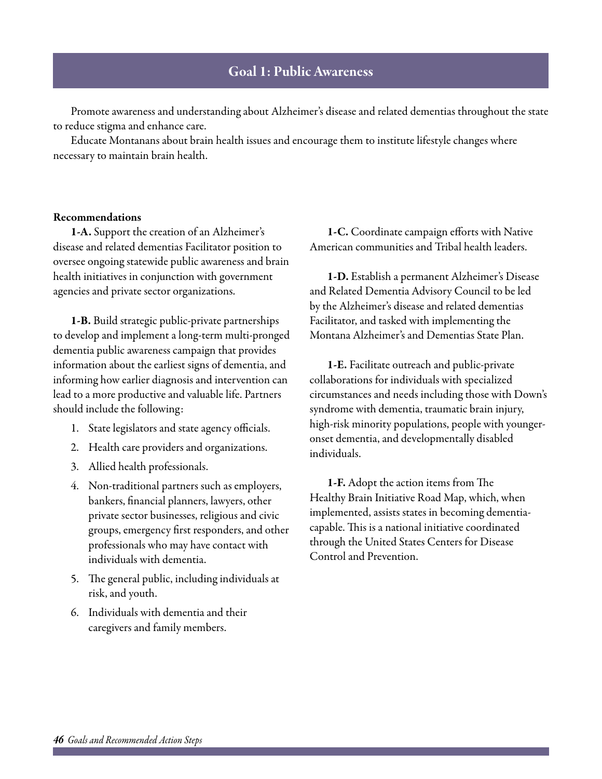# Goal 1: Public Awareness

Promote awareness and understanding about Alzheimer's disease and related dementias throughout the state to reduce stigma and enhance care.

Educate Montanans about brain health issues and encourage them to institute lifestyle changes where necessary to maintain brain health.

### Recommendations

1-A. Support the creation of an Alzheimer's disease and related dementias Facilitator position to oversee ongoing statewide public awareness and brain health initiatives in conjunction with government agencies and private sector organizations.

1-B. Build strategic public-private partnerships to develop and implement a long-term multi-pronged dementia public awareness campaign that provides information about the earliest signs of dementia, and informing how earlier diagnosis and intervention can lead to a more productive and valuable life. Partners should include the following:

- 1. State legislators and state agency officials.
- 2. Health care providers and organizations.
- 3. Allied health professionals.
- 4. Non-traditional partners such as employers, bankers, financial planners, lawyers, other private sector businesses, religious and civic groups, emergency first responders, and other professionals who may have contact with individuals with dementia.
- 5. The general public, including individuals at risk, and youth.
- 6. Individuals with dementia and their caregivers and family members.

1-C. Coordinate campaign efforts with Native American communities and Tribal health leaders.

1-D. Establish a permanent Alzheimer's Disease and Related Dementia Advisory Council to be led by the Alzheimer's disease and related dementias Facilitator, and tasked with implementing the Montana Alzheimer's and Dementias State Plan.

1-E. Facilitate outreach and public-private collaborations for individuals with specialized circumstances and needs including those with Down's syndrome with dementia, traumatic brain injury, high-risk minority populations, people with youngeronset dementia, and developmentally disabled individuals.

1-F. Adopt the action items from The Healthy Brain Initiative Road Map, which, when implemented, assists states in becoming dementiacapable. This is a national initiative coordinated through the United States Centers for Disease Control and Prevention.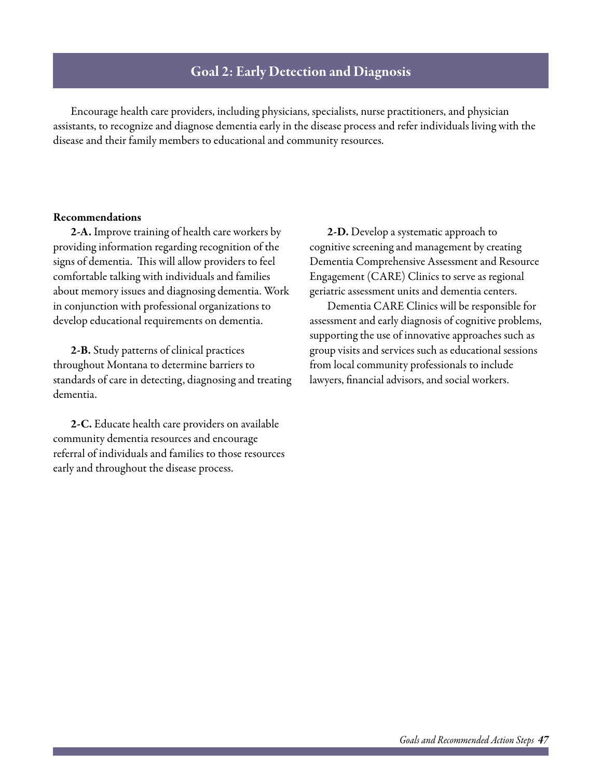# Goal 2: Early Detection and Diagnosis

Encourage health care providers, including physicians, specialists, nurse practitioners, and physician assistants, to recognize and diagnose dementia early in the disease process and refer individuals living with the disease and their family members to educational and community resources.

### Recommendations

2-A. Improve training of health care workers by providing information regarding recognition of the signs of dementia. This will allow providers to feel comfortable talking with individuals and families about memory issues and diagnosing dementia. Work in conjunction with professional organizations to develop educational requirements on dementia.

2-B. Study patterns of clinical practices throughout Montana to determine barriers to standards of care in detecting, diagnosing and treating dementia.

2-C. Educate health care providers on available community dementia resources and encourage referral of individuals and families to those resources early and throughout the disease process.

2-D. Develop a systematic approach to cognitive screening and management by creating Dementia Comprehensive Assessment and Resource Engagement (CARE) Clinics to serve as regional geriatric assessment units and dementia centers.

Dementia CARE Clinics will be responsible for assessment and early diagnosis of cognitive problems, supporting the use of innovative approaches such as group visits and services such as educational sessions from local community professionals to include lawyers, financial advisors, and social workers.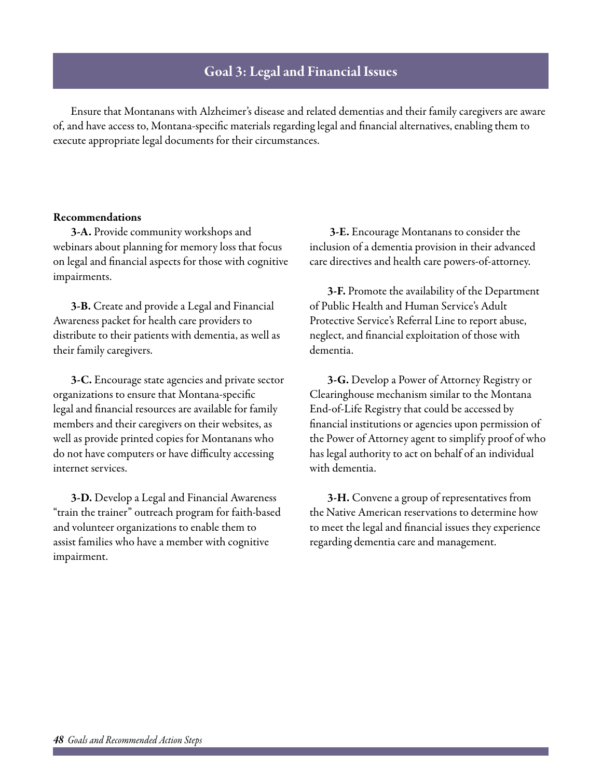# Goal 3: Legal and Financial Issues

Ensure that Montanans with Alzheimer's disease and related dementias and their family caregivers are aware of, and have access to, Montana-specific materials regarding legal and financial alternatives, enabling them to execute appropriate legal documents for their circumstances.

### Recommendations

3-A. Provide community workshops and webinars about planning for memory loss that focus on legal and financial aspects for those with cognitive impairments.

3-B. Create and provide a Legal and Financial Awareness packet for health care providers to distribute to their patients with dementia, as well as their family caregivers.

3-C. Encourage state agencies and private sector organizations to ensure that Montana-specific legal and financial resources are available for family members and their caregivers on their websites, as well as provide printed copies for Montanans who do not have computers or have difficulty accessing internet services.

3-D. Develop a Legal and Financial Awareness "train the trainer" outreach program for faith-based and volunteer organizations to enable them to assist families who have a member with cognitive impairment.

 3-E. Encourage Montanans to consider the inclusion of a dementia provision in their advanced care directives and health care powers-of-attorney.

3-F. Promote the availability of the Department of Public Health and Human Service's Adult Protective Service's Referral Line to report abuse, neglect, and financial exploitation of those with dementia.

3-G. Develop a Power of Attorney Registry or Clearinghouse mechanism similar to the Montana End-of-Life Registry that could be accessed by financial institutions or agencies upon permission of the Power of Attorney agent to simplify proof of who has legal authority to act on behalf of an individual with dementia.

3-H. Convene a group of representatives from the Native American reservations to determine how to meet the legal and financial issues they experience regarding dementia care and management.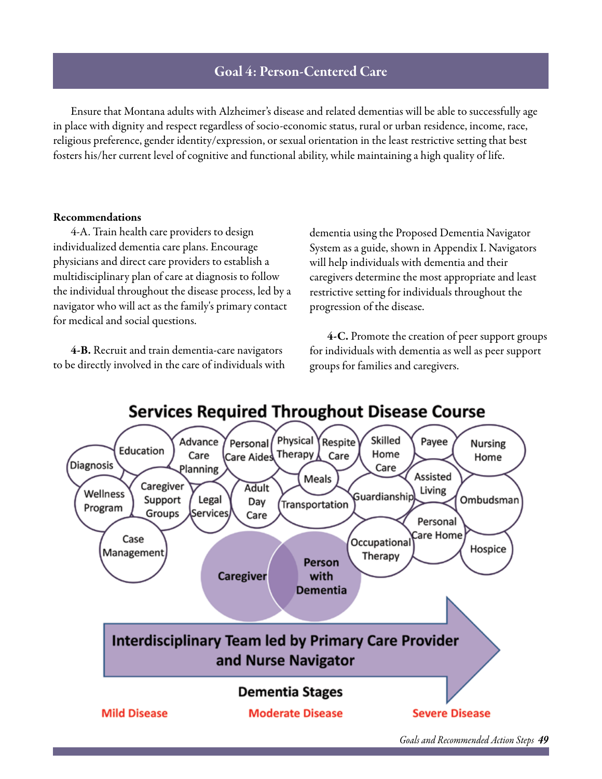# Goal 4: Person-Centered Care

Ensure that Montana adults with Alzheimer's disease and related dementias will be able to successfully age in place with dignity and respect regardless of socio-economic status, rural or urban residence, income, race, religious preference, gender identity/expression, or sexual orientation in the least restrictive setting that best fosters his/her current level of cognitive and functional ability, while maintaining a high quality of life.

### Recommendations

4-A. Train health care providers to design individualized dementia care plans. Encourage physicians and direct care providers to establish a multidisciplinary plan of care at diagnosis to follow the individual throughout the disease process, led by a navigator who will act as the family's primary contact for medical and social questions.

4-B. Recruit and train dementia-care navigators to be directly involved in the care of individuals with dementia using the Proposed Dementia Navigator System as a guide, shown in Appendix I. Navigators will help individuals with dementia and their caregivers determine the most appropriate and least restrictive setting for individuals throughout the progression of the disease.

4-C. Promote the creation of peer support groups for individuals with dementia as well as peer support groups for families and caregivers.

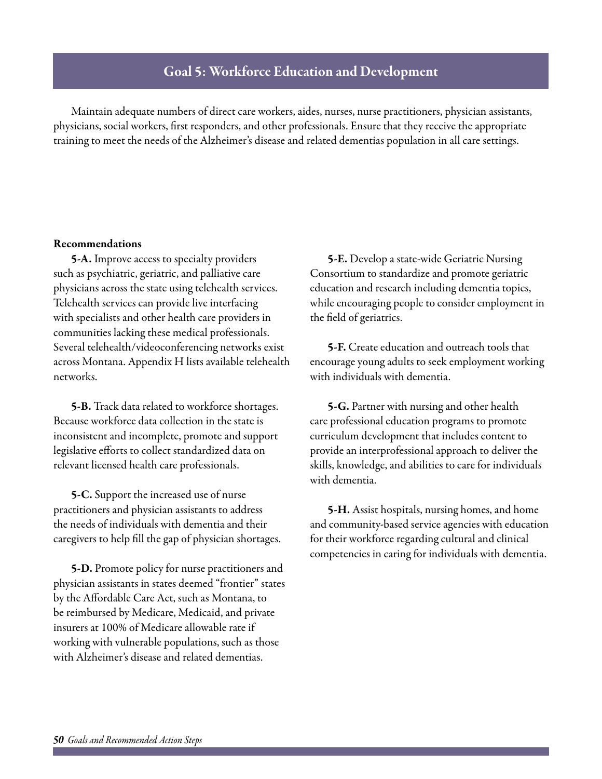# Goal 5: Workforce Education and Development

Maintain adequate numbers of direct care workers, aides, nurses, nurse practitioners, physician assistants, physicians, social workers, first responders, and other professionals. Ensure that they receive the appropriate training to meet the needs of the Alzheimer's disease and related dementias population in all care settings.

### Recommendations

5-A. Improve access to specialty providers such as psychiatric, geriatric, and palliative care physicians across the state using telehealth services. Telehealth services can provide live interfacing with specialists and other health care providers in communities lacking these medical professionals. Several telehealth/videoconferencing networks exist across Montana. Appendix H lists available telehealth networks.

5-B. Track data related to workforce shortages. Because workforce data collection in the state is inconsistent and incomplete, promote and support legislative efforts to collect standardized data on relevant licensed health care professionals.

5-C. Support the increased use of nurse practitioners and physician assistants to address the needs of individuals with dementia and their caregivers to help fill the gap of physician shortages.

5-D. Promote policy for nurse practitioners and physician assistants in states deemed "frontier" states by the Affordable Care Act, such as Montana, to be reimbursed by Medicare, Medicaid, and private insurers at 100% of Medicare allowable rate if working with vulnerable populations, such as those with Alzheimer's disease and related dementias.

5-E. Develop a state-wide Geriatric Nursing Consortium to standardize and promote geriatric education and research including dementia topics, while encouraging people to consider employment in the field of geriatrics.

5-F. Create education and outreach tools that encourage young adults to seek employment working with individuals with dementia.

5-G. Partner with nursing and other health care professional education programs to promote curriculum development that includes content to provide an interprofessional approach to deliver the skills, knowledge, and abilities to care for individuals with dementia.

5-H. Assist hospitals, nursing homes, and home and community-based service agencies with education for their workforce regarding cultural and clinical competencies in caring for individuals with dementia.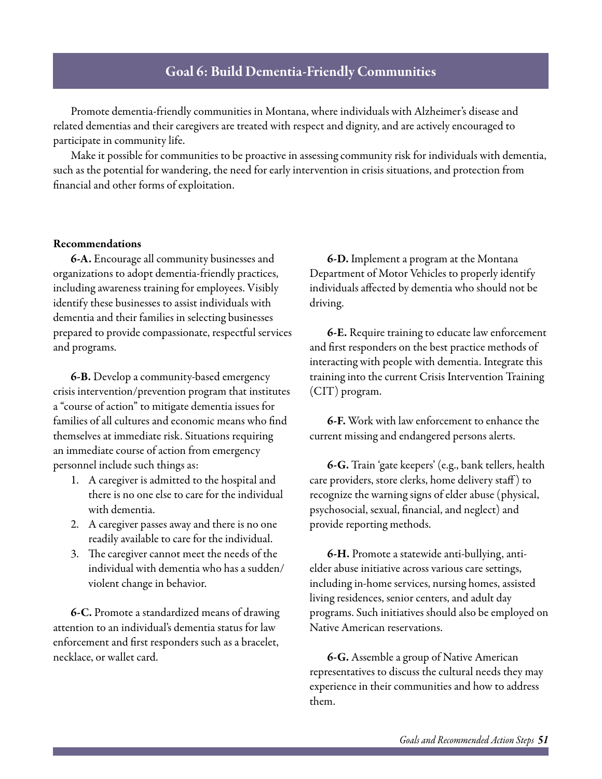# Goal 6: Build Dementia-Friendly Communities

Promote dementia-friendly communities in Montana, where individuals with Alzheimer's disease and related dementias and their caregivers are treated with respect and dignity, and are actively encouraged to participate in community life.

Make it possible for communities to be proactive in assessing community risk for individuals with dementia, such as the potential for wandering, the need for early intervention in crisis situations, and protection from financial and other forms of exploitation.

#### Recommendations

6-A. Encourage all community businesses and organizations to adopt dementia-friendly practices, including awareness training for employees. Visibly identify these businesses to assist individuals with dementia and their families in selecting businesses prepared to provide compassionate, respectful services and programs.

6-B. Develop a community-based emergency crisis intervention/prevention program that institutes a "course of action" to mitigate dementia issues for families of all cultures and economic means who find themselves at immediate risk. Situations requiring an immediate course of action from emergency personnel include such things as:

- 1. A caregiver is admitted to the hospital and there is no one else to care for the individual with dementia.
- 2. A caregiver passes away and there is no one readily available to care for the individual.
- 3. The caregiver cannot meet the needs of the individual with dementia who has a sudden/ violent change in behavior.

6-C. Promote a standardized means of drawing attention to an individual's dementia status for law enforcement and first responders such as a bracelet, necklace, or wallet card.

6-D. Implement a program at the Montana Department of Motor Vehicles to properly identify individuals affected by dementia who should not be driving.

6-E. Require training to educate law enforcement and first responders on the best practice methods of interacting with people with dementia. Integrate this training into the current Crisis Intervention Training (CIT) program.

6-F. Work with law enforcement to enhance the current missing and endangered persons alerts.

6-G. Train 'gate keepers' (e.g., bank tellers, health care providers, store clerks, home delivery staff ) to recognize the warning signs of elder abuse (physical, psychosocial, sexual, financial, and neglect) and provide reporting methods.

6-H. Promote a statewide anti-bullying, antielder abuse initiative across various care settings, including in-home services, nursing homes, assisted living residences, senior centers, and adult day programs. Such initiatives should also be employed on Native American reservations.

6-G. Assemble a group of Native American representatives to discuss the cultural needs they may experience in their communities and how to address them.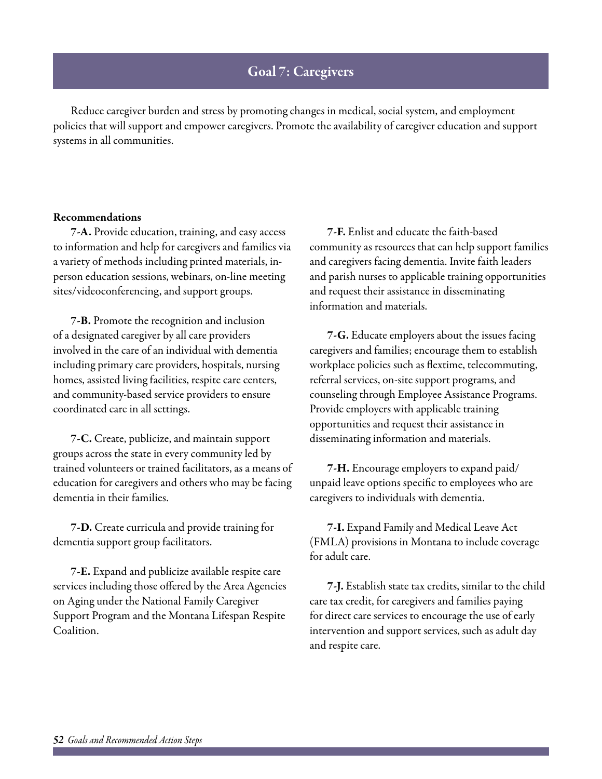# Goal 7: Caregivers

Reduce caregiver burden and stress by promoting changes in medical, social system, and employment policies that will support and empower caregivers. Promote the availability of caregiver education and support systems in all communities.

### Recommendations

7-A. Provide education, training, and easy access to information and help for caregivers and families via a variety of methods including printed materials, inperson education sessions, webinars, on-line meeting sites/videoconferencing, and support groups.

7-B. Promote the recognition and inclusion of a designated caregiver by all care providers involved in the care of an individual with dementia including primary care providers, hospitals, nursing homes, assisted living facilities, respite care centers, and community-based service providers to ensure coordinated care in all settings.

7-C. Create, publicize, and maintain support groups across the state in every community led by trained volunteers or trained facilitators, as a means of education for caregivers and others who may be facing dementia in their families.

7-D. Create curricula and provide training for dementia support group facilitators.

7-E. Expand and publicize available respite care services including those offered by the Area Agencies on Aging under the National Family Caregiver Support Program and the Montana Lifespan Respite Coalition.

7-F. Enlist and educate the faith-based community as resources that can help support families and caregivers facing dementia. Invite faith leaders and parish nurses to applicable training opportunities and request their assistance in disseminating information and materials.

7-G. Educate employers about the issues facing caregivers and families; encourage them to establish workplace policies such as flextime, telecommuting, referral services, on-site support programs, and counseling through Employee Assistance Programs. Provide employers with applicable training opportunities and request their assistance in disseminating information and materials.

7-H. Encourage employers to expand paid/ unpaid leave options specific to employees who are caregivers to individuals with dementia.

7-I. Expand Family and Medical Leave Act (FMLA) provisions in Montana to include coverage for adult care.

7-J. Establish state tax credits, similar to the child care tax credit, for caregivers and families paying for direct care services to encourage the use of early intervention and support services, such as adult day and respite care.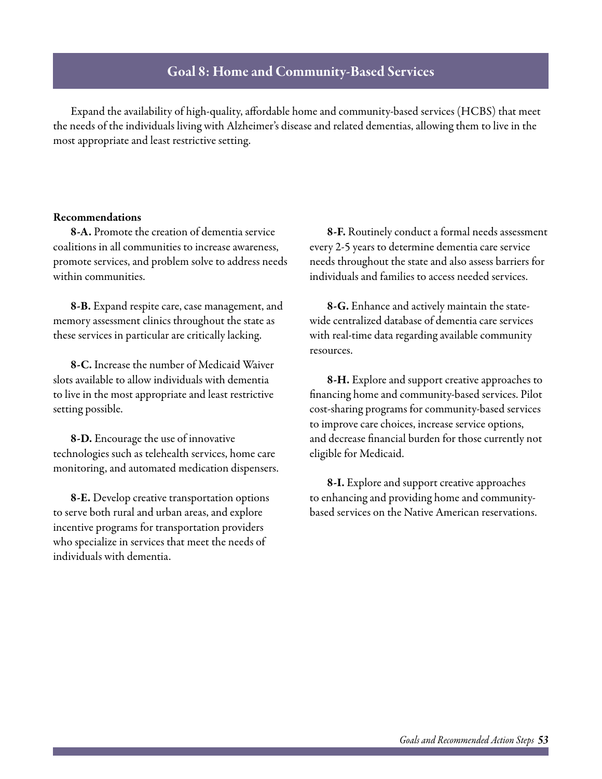# Goal 8: Home and Community-Based Services

Expand the availability of high-quality, affordable home and community-based services (HCBS) that meet the needs of the individuals living with Alzheimer's disease and related dementias, allowing them to live in the most appropriate and least restrictive setting.

### Recommendations

8-A. Promote the creation of dementia service coalitions in all communities to increase awareness, promote services, and problem solve to address needs within communities.

8-B. Expand respite care, case management, and memory assessment clinics throughout the state as these services in particular are critically lacking.

8-C. Increase the number of Medicaid Waiver slots available to allow individuals with dementia to live in the most appropriate and least restrictive setting possible.

8-D. Encourage the use of innovative technologies such as telehealth services, home care monitoring, and automated medication dispensers.

8-E. Develop creative transportation options to serve both rural and urban areas, and explore incentive programs for transportation providers who specialize in services that meet the needs of individuals with dementia.

8-F. Routinely conduct a formal needs assessment every 2-5 years to determine dementia care service needs throughout the state and also assess barriers for individuals and families to access needed services.

8-G. Enhance and actively maintain the statewide centralized database of dementia care services with real-time data regarding available community resources.

8-H. Explore and support creative approaches to financing home and community-based services. Pilot cost-sharing programs for community-based services to improve care choices, increase service options, and decrease financial burden for those currently not eligible for Medicaid.

8-I. Explore and support creative approaches to enhancing and providing home and communitybased services on the Native American reservations.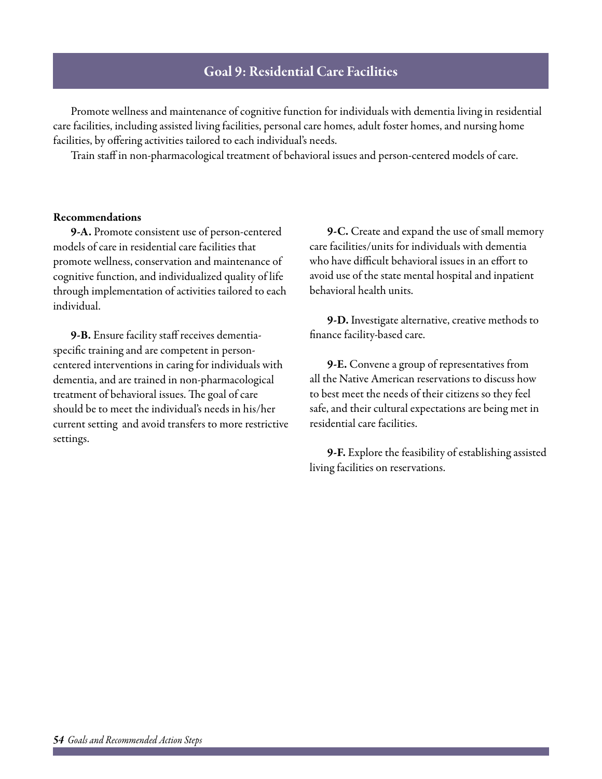# Goal 9: Residential Care Facilities

Promote wellness and maintenance of cognitive function for individuals with dementia living in residential care facilities, including assisted living facilities, personal care homes, adult foster homes, and nursing home facilities, by offering activities tailored to each individual's needs.

Train staff in non-pharmacological treatment of behavioral issues and person-centered models of care.

### Recommendations

9-A. Promote consistent use of person-centered models of care in residential care facilities that promote wellness, conservation and maintenance of cognitive function, and individualized quality of life through implementation of activities tailored to each individual.

9-B. Ensure facility staff receives dementiaspecific training and are competent in personcentered interventions in caring for individuals with dementia, and are trained in non-pharmacological treatment of behavioral issues. The goal of care should be to meet the individual's needs in his/her current setting and avoid transfers to more restrictive settings.

9-C. Create and expand the use of small memory care facilities/units for individuals with dementia who have difficult behavioral issues in an effort to avoid use of the state mental hospital and inpatient behavioral health units.

9-D. Investigate alternative, creative methods to finance facility-based care.

9-E. Convene a group of representatives from all the Native American reservations to discuss how to best meet the needs of their citizens so they feel safe, and their cultural expectations are being met in residential care facilities.

9-F. Explore the feasibility of establishing assisted living facilities on reservations.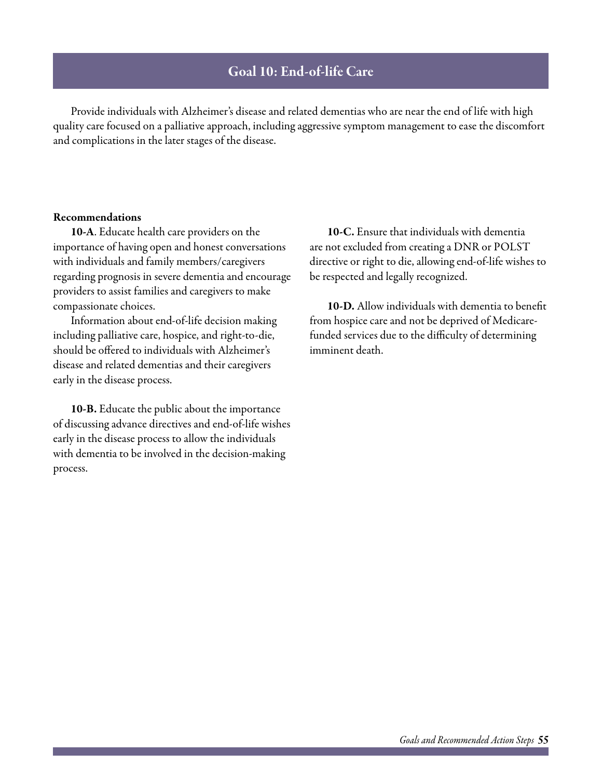# Goal 10: End-of-life Care

Provide individuals with Alzheimer's disease and related dementias who are near the end of life with high quality care focused on a palliative approach, including aggressive symptom management to ease the discomfort and complications in the later stages of the disease.

### Recommendations

10-A. Educate health care providers on the importance of having open and honest conversations with individuals and family members/caregivers regarding prognosis in severe dementia and encourage providers to assist families and caregivers to make compassionate choices.

Information about end-of-life decision making including palliative care, hospice, and right-to-die, should be offered to individuals with Alzheimer's disease and related dementias and their caregivers early in the disease process.

10-B. Educate the public about the importance of discussing advance directives and end-of-life wishes early in the disease process to allow the individuals with dementia to be involved in the decision-making process.

10-C. Ensure that individuals with dementia are not excluded from creating a DNR or POLST directive or right to die, allowing end-of-life wishes to be respected and legally recognized.

10-D. Allow individuals with dementia to benefit from hospice care and not be deprived of Medicarefunded services due to the difficulty of determining imminent death.